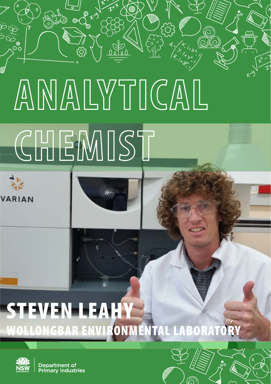# **ANALYTICAL**

## **CHEMIST**

 $\bigoplus_{i=1}^{\infty} \kappa_i$ 

**VARIAN** 

 $\mathcal{O}^{\bullet}_{\mathcal{O}}$ 

### STEVEN LEAHY WOLLONGBAR ENVIRONMENTAL LABORATORY



**Department of<br>Primary Industries** 

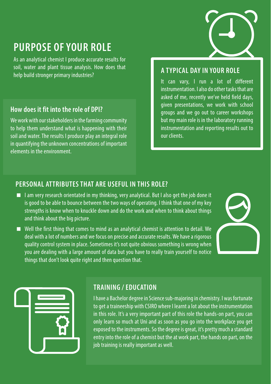#### **PURPOSE OF YOUR ROLE**

As an analytical chemist I produce accurate results for soil, water and plant tissue analysis. How does that help build stronger primary industries?

#### **How does it fit into the role of DPI?**

We work with our stakeholders in the farming community to help them understand what is happening with their soil and water. The results I produce play an integral role in quantifying the unknown concentrations of important elements in the environment.

#### **A TYPICAL DAY IN YOUR ROLE**

It can vary, I run a lot of different instrumentation. I also do other tasks that are asked of me, recently we've held field days, given presentations, we work with school groups and we go out to career workshops but my main role is in the laboratory running instrumentation and reporting results out to our clients.

#### **PERSONAL ATTRIBUTES THAT ARE USEFUL IN THIS ROLE?**

- $\blacksquare$  I am very research orientated in my thinking, very analytical. But I also get the job done it is good to be able to bounce between the two ways of operating. I think that one of my key strengths is know when to knuckle down and do the work and when to think about things and think about the big picture.
- Well the first thing that comes to mind as an analytical chemist is attention to detail. We deal with a lot of numbers and we focus on precise and accurate results. We have a rigorous quality control system in place. Sometimes it's not quite obvious something is wrong when you are dealing with a large amount of data but you have to really train yourself to notice things that don't look quite right and then question that.





#### **TRAINING / EDUCATION**

I have a Bachelor degree in Science sub-majoring in chemistry. I was fortunate to get a traineeship with CSIRO where I learnt a lot about the instrumentation in this role. It's a very important part of this role the hands-on part, you can only learn so much at Uni and as soon as you go into the workplace you get exposed to the instruments. So the degree is great, it's pretty much a standard entry into the role of a chemist but the at work part, the hands on part, on the job training is really important as well.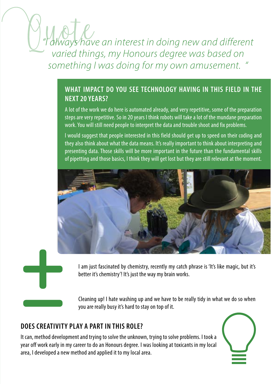*"I always have an interest in doing new and different varied things, my Honours degree was based on something I was doing for my own amusement. "*

#### **WHAT IMPACT DO YOU SEE TECHNOLOGY HAVING IN THIS FIELD IN THE NEXT 20 YEARS?**

A lot of the work we do here is automated already, and very repetitive, some of the preparation steps are very repetitive. So in 20 years I think robots will take a lot of the mundane preparation work. You will still need people to interpret the data and trouble shoot and fix problems.

I would suggest that people interested in this field should get up to speed on their coding and they also think about what the data means. It's really important to think about interpreting and presenting data. Those skills will be more important in the future than the fundamental skills of pipetting and those basics, I think they will get lost but they are still relevant at the moment.



I am just fascinated by chemistry, recently my catch phrase is 'It's like magic, but it's better it's chemistry'! It's just the way my brain works.

Cleaning up! I hate washing up and we have to be really tidy in what we do so when you are really busy it's hard to stay on top of it.

#### **DOES CREATIVITY PLAY A PART IN THIS ROLE?**

It can, method development and trying to solve the unknown, trying to solve problems. I took a year off work early in my career to do an Honours degree. I was looking at toxicants in my local area, I developed a new method and applied it to my local area.